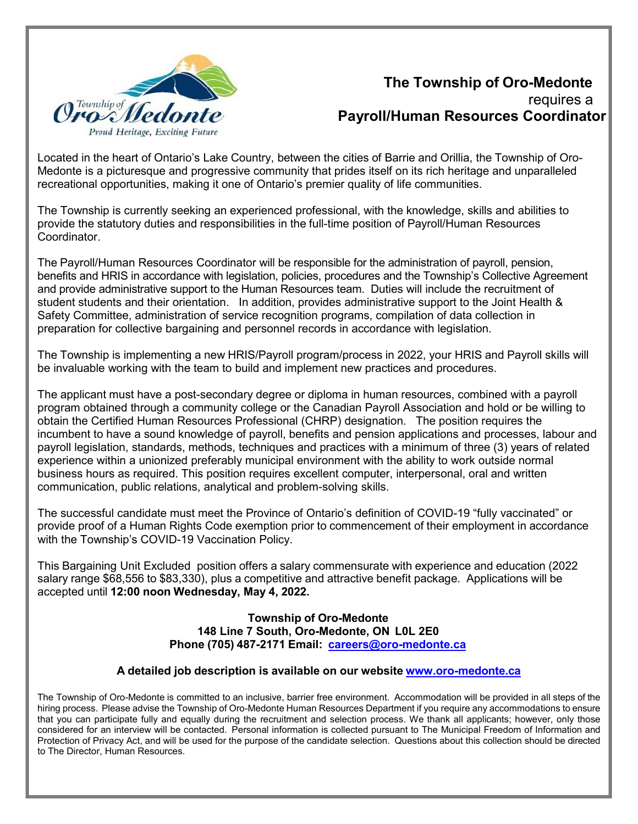

# **The Township of Oro-Medonte** requires a **Payroll/Human Resources Coordinator**

Located in the heart of Ontario's Lake Country, between the cities of Barrie and Orillia, the Township of Oro-Medonte is a picturesque and progressive community that prides itself on its rich heritage and unparalleled recreational opportunities, making it one of Ontario's premier quality of life communities.

The Township is currently seeking an experienced professional, with the knowledge, skills and abilities to provide the statutory duties and responsibilities in the full-time position of Payroll/Human Resources Coordinator.

The Payroll/Human Resources Coordinator will be responsible for the administration of payroll, pension, benefits and HRIS in accordance with legislation, policies, procedures and the Township's Collective Agreement and provide administrative support to the Human Resources team. Duties will include the recruitment of student students and their orientation. In addition, provides administrative support to the Joint Health & Safety Committee, administration of service recognition programs, compilation of data collection in preparation for collective bargaining and personnel records in accordance with legislation.

The Township is implementing a new HRIS/Payroll program/process in 2022, your HRIS and Payroll skills will be invaluable working with the team to build and implement new practices and procedures.

The applicant must have a post-secondary degree or diploma in human resources, combined with a payroll program obtained through a community college or the Canadian Payroll Association and hold or be willing to obtain the Certified Human Resources Professional (CHRP) designation. The position requires the incumbent to have a sound knowledge of payroll, benefits and pension applications and processes, labour and payroll legislation, standards, methods, techniques and practices with a minimum of three (3) years of related experience within a unionized preferably municipal environment with the ability to work outside normal business hours as required. This position requires excellent computer, interpersonal, oral and written communication, public relations, analytical and problem-solving skills.

The successful candidate must meet the Province of Ontario's definition of COVID-19 "fully vaccinated" or provide proof of a Human Rights Code exemption prior to commencement of their employment in accordance with the Township's COVID-19 Vaccination Policy.

This Bargaining Unit Excluded position offers a salary commensurate with experience and education (2022 salary range \$68,556 to \$83,330), plus a competitive and attractive benefit package. Applications will be accepted until **12:00 noon Wednesday, May 4, 2022.**

#### **Township of Oro-Medonte 148 Line 7 South, Oro-Medonte, ON L0L 2E0 Phone (705) 487-2171 Email: [careers@oro-medonte.ca](mailto:careers@oro-medonte.ca)**

#### **A detailed job description is available on our website [www.oro-medonte.ca](http://www.oro-medonte.ca/)**

The Township of Oro-Medonte is committed to an inclusive, barrier free environment. Accommodation will be provided in all steps of the hiring process. Please advise the Township of Oro-Medonte Human Resources Department if you require any accommodations to ensure that you can participate fully and equally during the recruitment and selection process. We thank all applicants; however, only those considered for an interview will be contacted. Personal information is collected pursuant to The Municipal Freedom of Information and Protection of Privacy Act, and will be used for the purpose of the candidate selection. Questions about this collection should be directed to The Director, Human Resources.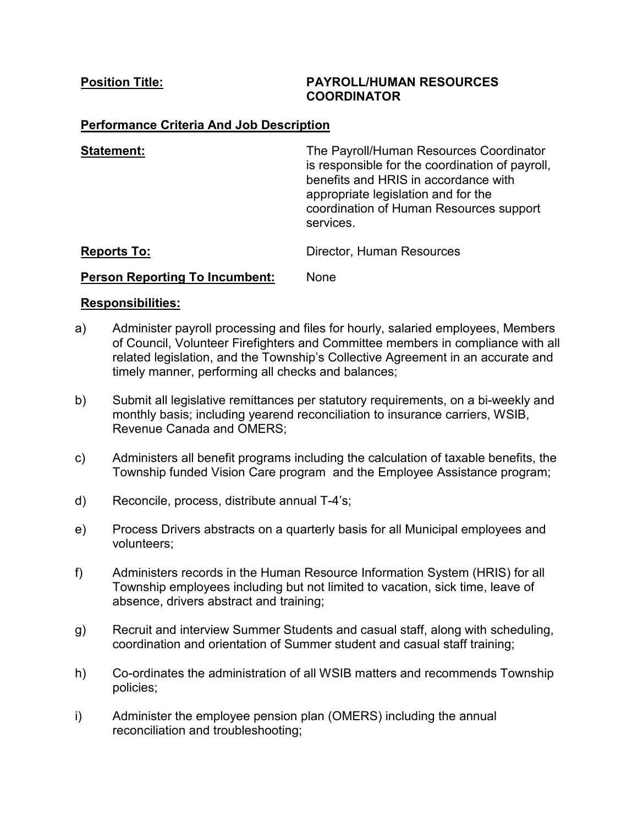### **Position Title: PAYROLL/HUMAN RESOURCES COORDINATOR**

# **Performance Criteria And Job Description**

| <b>Statement:</b>                     | The Payroll/Human Resources Coordinator<br>is responsible for the coordination of payroll,<br>benefits and HRIS in accordance with<br>appropriate legislation and for the<br>coordination of Human Resources support<br>services. |
|---------------------------------------|-----------------------------------------------------------------------------------------------------------------------------------------------------------------------------------------------------------------------------------|
| <b>Reports To:</b>                    | Director, Human Resources                                                                                                                                                                                                         |
| <b>Person Reporting To Incumbent:</b> | None                                                                                                                                                                                                                              |

## **Responsibilities:**

- a) Administer payroll processing and files for hourly, salaried employees, Members of Council, Volunteer Firefighters and Committee members in compliance with all related legislation, and the Township's Collective Agreement in an accurate and timely manner, performing all checks and balances;
- b) Submit all legislative remittances per statutory requirements, on a bi-weekly and monthly basis; including yearend reconciliation to insurance carriers, WSIB, Revenue Canada and OMERS;
- c) Administers all benefit programs including the calculation of taxable benefits, the Township funded Vision Care program and the Employee Assistance program;
- d) Reconcile, process, distribute annual T-4's;
- e) Process Drivers abstracts on a quarterly basis for all Municipal employees and volunteers;
- f) Administers records in the Human Resource Information System (HRIS) for all Township employees including but not limited to vacation, sick time, leave of absence, drivers abstract and training;
- g) Recruit and interview Summer Students and casual staff, along with scheduling, coordination and orientation of Summer student and casual staff training;
- h) Co-ordinates the administration of all WSIB matters and recommends Township policies;
- i) Administer the employee pension plan (OMERS) including the annual reconciliation and troubleshooting;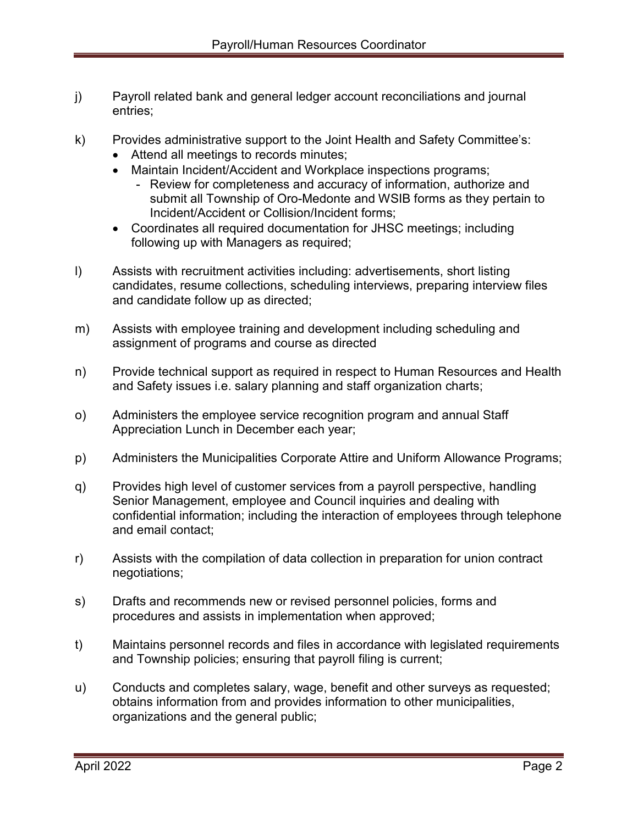- j) Payroll related bank and general ledger account reconciliations and journal entries;
- k) Provides administrative support to the Joint Health and Safety Committee's:
	- Attend all meetings to records minutes;
	- Maintain Incident/Accident and Workplace inspections programs;
		- Review for completeness and accuracy of information, authorize and submit all Township of Oro-Medonte and WSIB forms as they pertain to Incident/Accident or Collision/Incident forms;
	- Coordinates all required documentation for JHSC meetings; including following up with Managers as required;
- l) Assists with recruitment activities including: advertisements, short listing candidates, resume collections, scheduling interviews, preparing interview files and candidate follow up as directed;
- m) Assists with employee training and development including scheduling and assignment of programs and course as directed
- n) Provide technical support as required in respect to Human Resources and Health and Safety issues i.e. salary planning and staff organization charts;
- o) Administers the employee service recognition program and annual Staff Appreciation Lunch in December each year;
- p) Administers the Municipalities Corporate Attire and Uniform Allowance Programs;
- q) Provides high level of customer services from a payroll perspective, handling Senior Management, employee and Council inquiries and dealing with confidential information; including the interaction of employees through telephone and email contact;
- r) Assists with the compilation of data collection in preparation for union contract negotiations;
- s) Drafts and recommends new or revised personnel policies, forms and procedures and assists in implementation when approved;
- t) Maintains personnel records and files in accordance with legislated requirements and Township policies; ensuring that payroll filing is current;
- u) Conducts and completes salary, wage, benefit and other surveys as requested; obtains information from and provides information to other municipalities, organizations and the general public;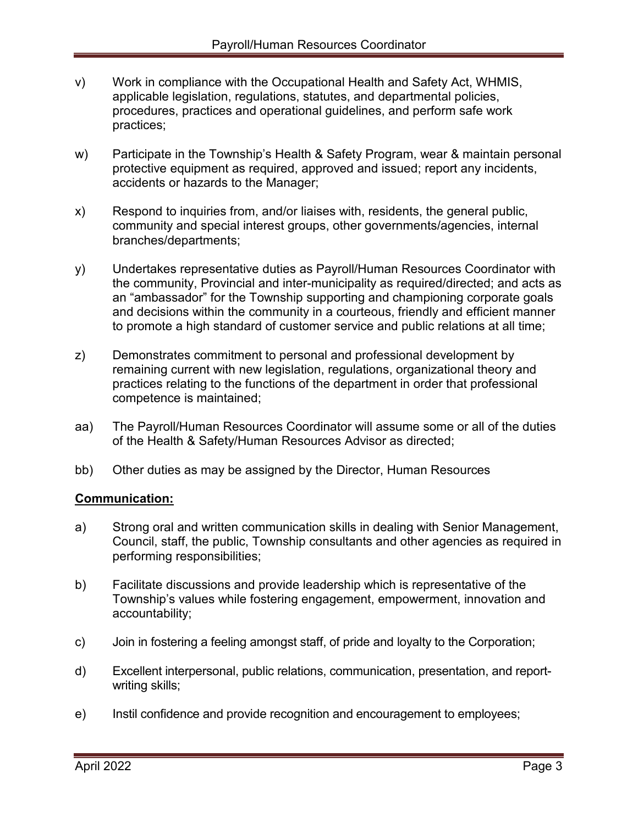- v) Work in compliance with the Occupational Health and Safety Act, WHMIS, applicable legislation, regulations, statutes, and departmental policies, procedures, practices and operational guidelines, and perform safe work practices;
- w) Participate in the Township's Health & Safety Program, wear & maintain personal protective equipment as required, approved and issued; report any incidents, accidents or hazards to the Manager;
- x) Respond to inquiries from, and/or liaises with, residents, the general public, community and special interest groups, other governments/agencies, internal branches/departments;
- y) Undertakes representative duties as Payroll/Human Resources Coordinator with the community, Provincial and inter-municipality as required/directed; and acts as an "ambassador" for the Township supporting and championing corporate goals and decisions within the community in a courteous, friendly and efficient manner to promote a high standard of customer service and public relations at all time;
- z) Demonstrates commitment to personal and professional development by remaining current with new legislation, regulations, organizational theory and practices relating to the functions of the department in order that professional competence is maintained;
- aa) The Payroll/Human Resources Coordinator will assume some or all of the duties of the Health & Safety/Human Resources Advisor as directed;
- bb) Other duties as may be assigned by the Director, Human Resources

# **Communication:**

- a) Strong oral and written communication skills in dealing with Senior Management, Council, staff, the public, Township consultants and other agencies as required in performing responsibilities;
- b) Facilitate discussions and provide leadership which is representative of the Township's values while fostering engagement, empowerment, innovation and accountability;
- c) Join in fostering a feeling amongst staff, of pride and loyalty to the Corporation;
- d) Excellent interpersonal, public relations, communication, presentation, and reportwriting skills;
- e) Instil confidence and provide recognition and encouragement to employees;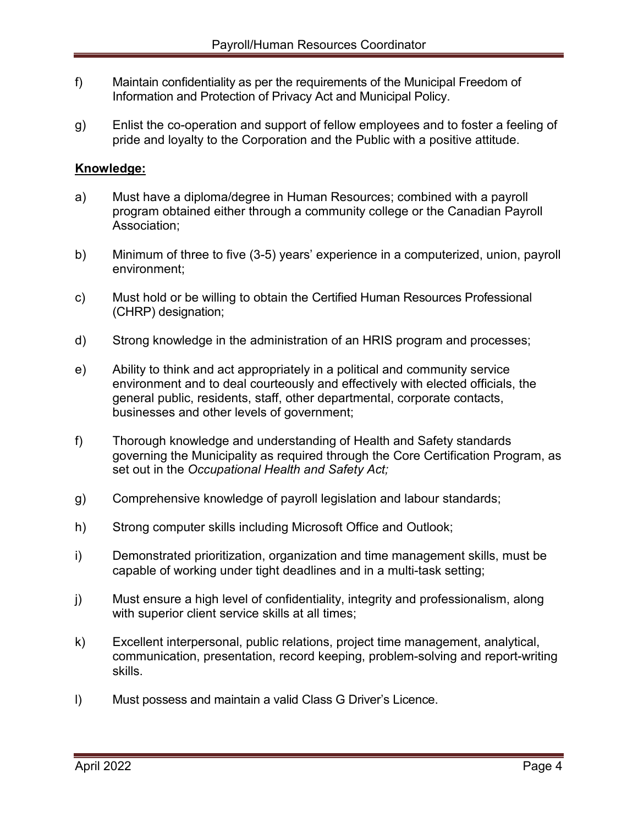- f) Maintain confidentiality as per the requirements of the Municipal Freedom of Information and Protection of Privacy Act and Municipal Policy.
- g) Enlist the co-operation and support of fellow employees and to foster a feeling of pride and loyalty to the Corporation and the Public with a positive attitude.

# **Knowledge:**

- a) Must have a diploma/degree in Human Resources; combined with a payroll program obtained either through a community college or the Canadian Payroll Association;
- b) Minimum of three to five (3-5) years' experience in a computerized, union, payroll environment;
- c) Must hold or be willing to obtain the Certified Human Resources Professional (CHRP) designation;
- d) Strong knowledge in the administration of an HRIS program and processes;
- e) Ability to think and act appropriately in a political and community service environment and to deal courteously and effectively with elected officials, the general public, residents, staff, other departmental, corporate contacts, businesses and other levels of government;
- f) Thorough knowledge and understanding of Health and Safety standards governing the Municipality as required through the Core Certification Program, as set out in the *Occupational Health and Safety Act;*
- g) Comprehensive knowledge of payroll legislation and labour standards;
- h) Strong computer skills including Microsoft Office and Outlook;
- i) Demonstrated prioritization, organization and time management skills, must be capable of working under tight deadlines and in a multi-task setting;
- j) Must ensure a high level of confidentiality, integrity and professionalism, along with superior client service skills at all times;
- k) Excellent interpersonal, public relations, project time management, analytical, communication, presentation, record keeping, problem-solving and report-writing skills.
- l) Must possess and maintain a valid Class G Driver's Licence.